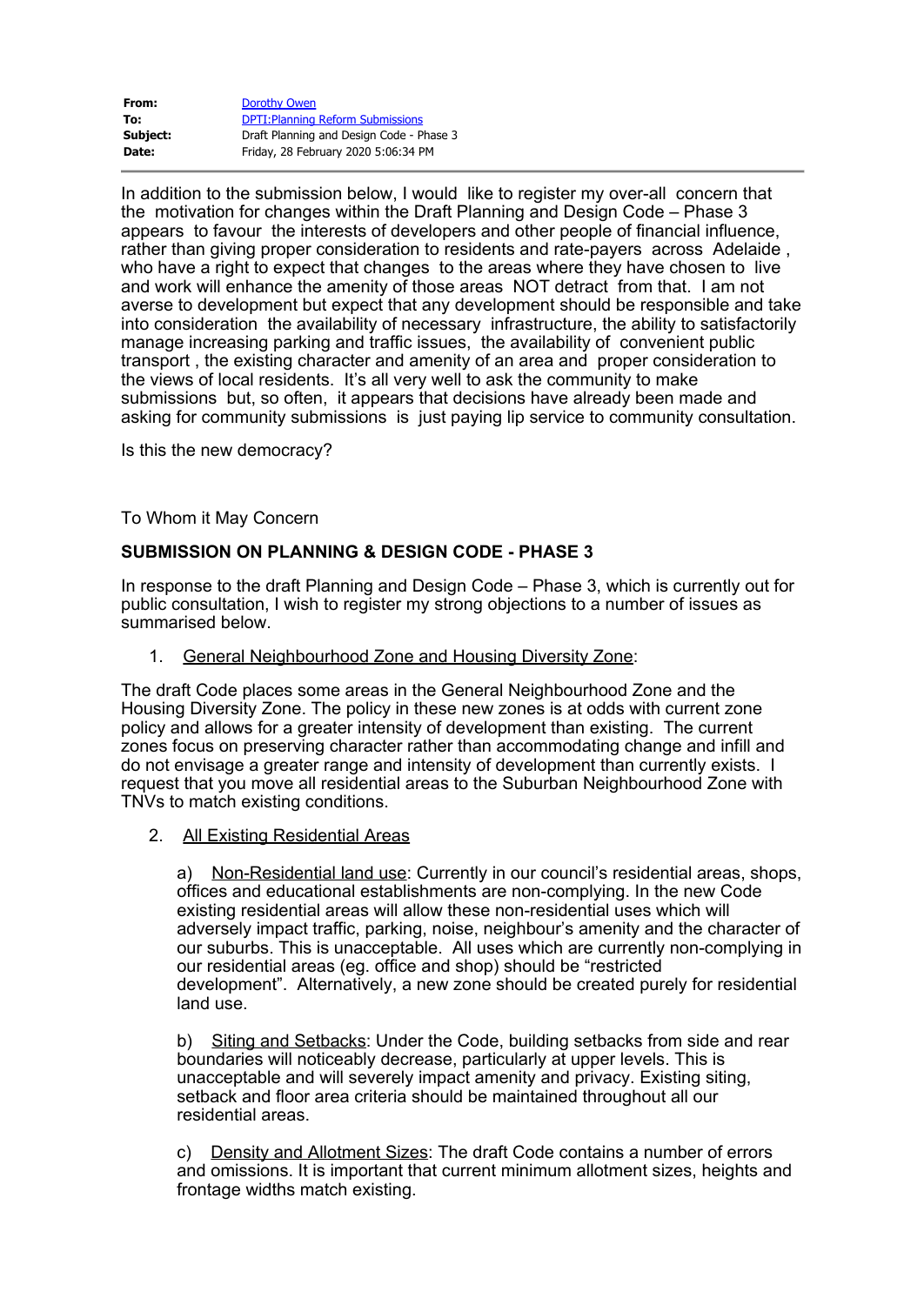| From:    | Dorothy Owen                             |
|----------|------------------------------------------|
| To:      | <b>DPTI: Planning Reform Submissions</b> |
| Subject: | Draft Planning and Design Code - Phase 3 |
| Date:    | Friday, 28 February 2020 5:06:34 PM      |

In addition to the submission below, I would like to register my over-all concern that the motivation for changes within the Draft Planning and Design Code – Phase 3 appears to favour the interests of developers and other people of financial influence, rather than giving proper consideration to residents and rate-payers across Adelaide , who have a right to expect that changes to the areas where they have chosen to live and work will enhance the amenity of those areas NOT detract from that. I am not averse to development but expect that any development should be responsible and take into consideration the availability of necessary infrastructure, the ability to satisfactorily manage increasing parking and traffic issues, the availability of convenient public transport , the existing character and amenity of an area and proper consideration to the views of local residents. It's all very well to ask the community to make submissions but, so often, it appears that decisions have already been made and asking for community submissions is just paying lip service to community consultation.

Is this the new democracy?

To Whom it May Concern

## **SUBMISSION ON PLANNING & DESIGN CODE - PHASE 3**

In response to the draft Planning and Design Code – Phase 3, which is currently out for public consultation, I wish to register my strong objections to a number of issues as summarised below.

1. General Neighbourhood Zone and Housing Diversity Zone:

The draft Code places some areas in the General Neighbourhood Zone and the Housing Diversity Zone. The policy in these new zones is at odds with current zone policy and allows for a greater intensity of development than existing. The current zones focus on preserving character rather than accommodating change and infill and do not envisage a greater range and intensity of development than currently exists. I request that you move all residential areas to the Suburban Neighbourhood Zone with TNVs to match existing conditions.

2. All Existing Residential Areas

a) Non-Residential land use: Currently in our council's residential areas, shops, offices and educational establishments are non-complying. In the new Code existing residential areas will allow these non-residential uses which will adversely impact traffic, parking, noise, neighbour's amenity and the character of our suburbs. This is unacceptable. All uses which are currently non-complying in our residential areas (eg. office and shop) should be "restricted development". Alternatively, a new zone should be created purely for residential land use.

b) Siting and Setbacks: Under the Code, building setbacks from side and rear boundaries will noticeably decrease, particularly at upper levels. This is unacceptable and will severely impact amenity and privacy. Existing siting, setback and floor area criteria should be maintained throughout all our residential areas.

c) Density and Allotment Sizes: The draft Code contains a number of errors and omissions. It is important that current minimum allotment sizes, heights and frontage widths match existing.